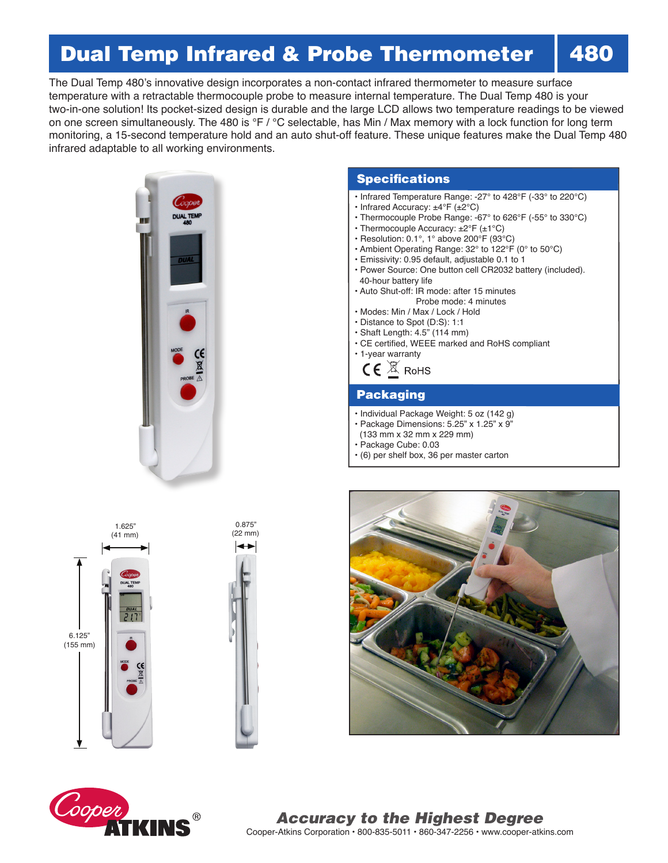# Dual Temp Infrared & Probe Thermometer

The Dual Temp 480's innovative design incorporates a non-contact infrared thermometer to measure surface temperature with a retractable thermocouple probe to measure internal temperature. The Dual Temp 480 is your two-in-one solution! Its pocket-sized design is durable and the large LCD allows two temperature readings to be viewed on one screen simultaneously. The 480 is °F / °C selectable, has Min / Max memory with a lock function for long term monitoring, a 15-second temperature hold and an auto shut-off feature. These unique features make the Dual Temp 480 infrared adaptable to all working environments.



### **Specifications**

- Infrared Temperature Range: -27° to 428°F (-33° to 220°C)
- Infrared Accuracy: ±4°F (±2°C)
- Thermocouple Probe Range: -67° to 626°F (-55° to 330°C)
- Thermocouple Accuracy: ±2°F (±1°C)
- Resolution: 0.1°, 1° above 200°F (93°C)
- Ambient Operating Range: 32° to 122°F (0° to 50°C)
- Emissivity: 0.95 default, adjustable 0.1 to 1
- Power Source: One button cell CR2032 battery (included). 40-hour battery life
- Auto Shut-off: IR mode: after 15 minutes Probe mode: 4 minutes
- Modes: Min / Max / Lock / Hold
- Distance to Spot (D:S): 1:1
- Shaft Length: 4.5" (114 mm)
- CE certified, WEEE marked and RoHS compliant
- 1-year warranty

 $\mathsf{CE}$   $\overline{\mathbb{X}}$  RoHS

### Packaging

- Individual Package Weight: 5 oz (142 g)
- Package Dimensions: 5.25" x 1.25" x 9"
- (133 mm x 32 mm x 229 mm)
- Package Cube: 0.03
- (6) per shelf box, 36 per master carton









Cooper-Atkins Corporation • 800-835-5011 • 860-347-2256 • www.cooper-atkins.com *Accuracy to the Highest Degree*

## 480